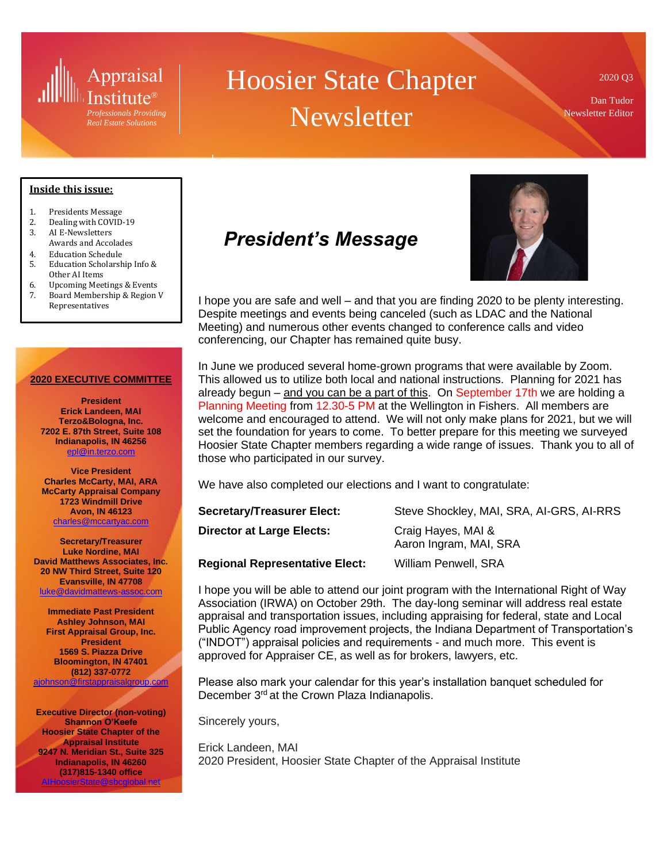

*Real Estate Solutions*

# Hoosier State Chapter **Newsletter**

2020 Q3

Dan Tudor Newsletter Editor

#### **Inside this issue:**

- 1. Presidents Message
- 2. Dealing with COVID-19
- 3. AI E-Newsletters Awards and Accolades
- 4. Education Schedule
- 5. Education Scholarship Info & Other AI Items
- 6. Upcoming Meetings & Events
- 7. Board Membership & Region V Representatives

#### **2020 EXECUTIVE COMMITTEE**

**President Erick Landeen, MAI Terzo&Bologna, Inc. 7202 E. 87th Street, Suite 108 Indianapolis, IN 46256** [epl@in.terzo.com](mailto:epl@in.terzo.com)

**Vice President Charles McCarty, MAI, ARA McCarty Appraisal Company 1723 Windmill Drive Avon, IN 46123** [charles@mccartyac.com](mailto:charles@mccartyac.com)

**Secretary/Treasurer Luke Nordine, MAI David Matthews Associates, Inc. 20 NW Third Street, Suite 120 Evansville, IN 47708** [luke@davidmattews-assoc.com](mailto:luke@davidmattews-assoc.com)

**Immediate Past President Ashley Johnson, MAI First Appraisal Group, Inc. President 1569 S. Piazza Drive Bloomington, IN 47401 (812) 337-0772** [ajohnson@firstappraisalgroup.com](mailto:ajohnson@firstappraisalgroup.com)

**Executive Director (non-voting) Shannon O'Keefe Hoosier State Chapter of the Appraisal Institute 9247 N. Meridian St., Suite 325 Indianapolis, IN 46260 (317)815-1340 office** [AIHoosierState@sbcglobal.net](mailto:AIHoosierState@sbcglobal.net)

## *President's Message*



I hope you are safe and well – and that you are finding 2020 to be plenty interesting. Despite meetings and events being canceled (such as LDAC and the National Meeting) and numerous other events changed to conference calls and video conferencing, our Chapter has remained quite busy.

In June we produced several home-grown programs that were available by Zoom. This allowed us to utilize both local and national instructions. Planning for 2021 has already begun – and you can be a part of this. On September 17th we are holding a Planning Meeting from 12.30-5 PM at the Wellington in Fishers. All members are welcome and encouraged to attend. We will not only make plans for 2021, but we will set the foundation for years to come. To better prepare for this meeting we surveyed Hoosier State Chapter members regarding a wide range of issues. Thank you to all of those who participated in our survey.

We have also completed our elections and I want to congratulate:

| <b>Secretary/Treasurer Elect:</b>     | Steve Shockley, MAI, SRA, AI-GRS, AI-RRS     |
|---------------------------------------|----------------------------------------------|
| <b>Director at Large Elects:</b>      | Craig Hayes, MAI &<br>Aaron Ingram, MAI, SRA |
| <b>Regional Representative Elect:</b> | <b>William Penwell, SRA</b>                  |

I hope you will be able to attend our joint program with the International Right of Way Association (IRWA) on October 29th. The day-long seminar will address real estate appraisal and transportation issues, including appraising for federal, state and Local Public Agency road improvement projects, the Indiana Department of Transportation's ("INDOT") appraisal policies and requirements - and much more. This event is approved for Appraiser CE, as well as for brokers, lawyers, etc.

Please also mark your calendar for this year's installation banquet scheduled for December 3rd at the Crown Plaza Indianapolis.

Sincerely yours,

Erick Landeen, MAI 2020 President, Hoosier State Chapter of the Appraisal Institute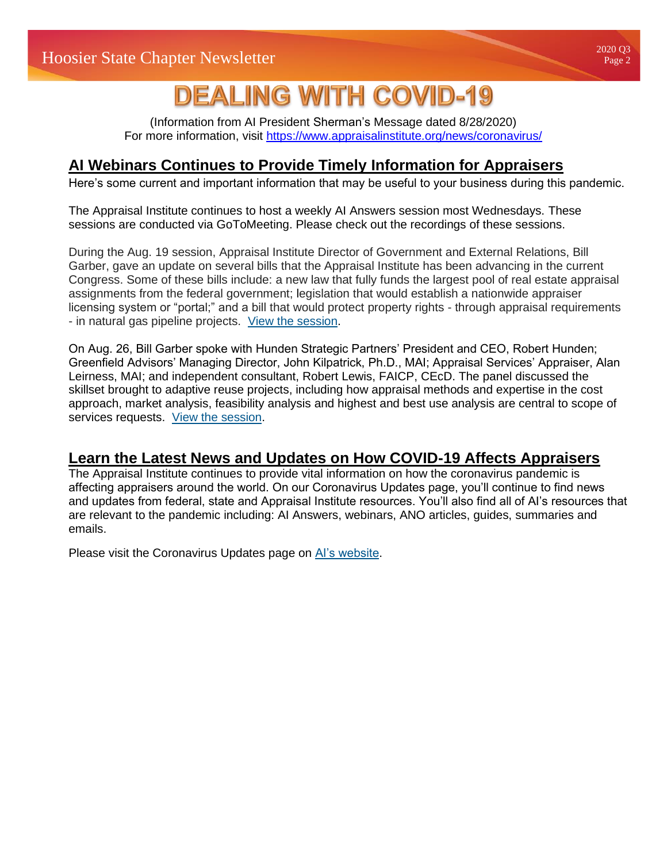## **DEALING WITH COVID-19**

(Information from AI President Sherman's Message dated 8/28/2020) For more information, visit<https://www.appraisalinstitute.org/news/coronavirus/>

## **AI Webinars Continues to Provide Timely Information for Appraisers**

Here's some current and important information that may be useful to your business during this pandemic.

The Appraisal Institute continues to host a weekly AI Answers session most Wednesdays. These sessions are conducted via GoToMeeting. Please check out the recordings of these sessions.

During the Aug. 19 session, Appraisal Institute Director of Government and External Relations, Bill Garber, gave an update on several bills that the Appraisal Institute has been advancing in the current Congress. Some of these bills include: a new law that fully funds the largest pool of real estate appraisal assignments from the federal government; legislation that would establish a nationwide appraiser licensing system or "portal;" and a bill that would protect property rights - through appraisal requirements - in natural gas pipeline projects. [View the session.](http://send.appraisalinstitute.org/link.cfm?r=bOqHIkLDRbb4UmOf_H4aMA~~&pe=cZ5P3Tf4fy1_Rf-dA2UkAvr6YSpIoyccUrRdfsscwGizgnOc72d-nxpwIs8BuzLPOEap6dN6S-cFw_HMb0q5Bg~~&t=AZ_O89gNdyEmKRHUOZMiow~~)

On Aug. 26, Bill Garber spoke with Hunden Strategic Partners' President and CEO, Robert Hunden; Greenfield Advisors' Managing Director, John Kilpatrick, Ph.D., MAI; Appraisal Services' Appraiser, Alan Leirness, MAI; and independent consultant, Robert Lewis, FAICP, CEcD. The panel discussed the skillset brought to adaptive reuse projects, including how appraisal methods and expertise in the cost approach, market analysis, feasibility analysis and highest and best use analysis are central to scope of services requests. [View the session.](http://send.appraisalinstitute.org/link.cfm?r=bOqHIkLDRbb4UmOf_H4aMA~~&pe=ZQDgQZJlHowtdJmfX2ZzCHByBLlFRz-lw0uMREZ5r_t3JansoN4KshZ6rwT29igZMK6Iwur66i8Tms77idOACQ~~&t=AZ_O89gNdyEmKRHUOZMiow~~)

## **Learn the Latest News and Updates on How COVID-19 Affects Appraisers**

The Appraisal Institute continues to provide vital information on how the coronavirus pandemic is affecting appraisers around the world. On our Coronavirus Updates page, you'll continue to find news and updates from federal, state and Appraisal Institute resources. You'll also find all of AI's resources that are relevant to the pandemic including: AI Answers, webinars, ANO articles, guides, summaries and emails.

Please visit the Coronavirus Updates page on [AI's website.](http://send.appraisalinstitute.org/link.cfm?r=bOqHIkLDRbb4UmOf_H4aMA~~&pe=WDgrUUijnP-ymQw-cqbOaWd5BdXl-k2z0mLzf8gNKj4kLHz9IVmT9lATJ14_gPmSEWcgDkRtJZUm0cXzKl-pgw~~&t=AZ_O89gNdyEmKRHUOZMiow~~)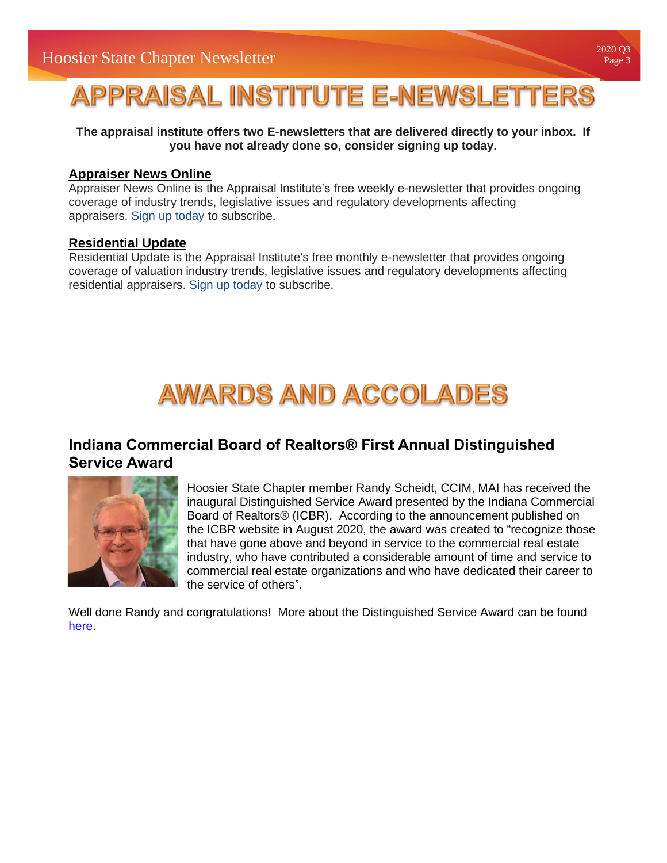# **APPRAISAL INSTITUTE E-NEWSLETTERS**

**The appraisal institute offers two E-newsletters that are delivered directly to your inbox. If you have not already done so, consider signing up today.**

### **[Appraiser News Online](https://www.appraisalinstitute.org/ano/)**

Appraiser News Online is the Appraisal Institute's free weekly e-newsletter that provides ongoing coverage of industry trends, legislative issues and regulatory developments affecting appraisers. [Sign up today](https://www.myappraisalinstitute.org/ano/subscribe/default.aspx) to subscribe.

### **[Residential Update](https://www.appraisalinstitute.org/ano/)**

Residential Update is the Appraisal Institute's free monthly e-newsletter that provides ongoing coverage of valuation industry trends, legislative issues and regulatory developments affecting residential appraisers. [Sign up today](http://myappraisalinstitute.org/ResidentialUpdate/contact.aspx) to subscribe.

# **AWARDS AND ACCOLADES**

## **Indiana Commercial Board of Realtors® First Annual Distinguished Service Award**



Hoosier State Chapter member Randy Scheidt, CCIM, MAI has received the inaugural Distinguished Service Award presented by the Indiana Commercial Board of Realtors® (ICBR). According to the announcement published on the ICBR website in August 2020, the award was created to "recognize those that have gone above and beyond in service to the commercial real estate industry, who have contributed a considerable amount of time and service to commercial real estate organizations and who have dedicated their career to the service of others".

Well done Randy and congratulations! More about the Distinguished Service Award can be found [here.](https://www.myicbr.org/commercial-real-estate-pro-receives-inaugural-distinguished-service-award/)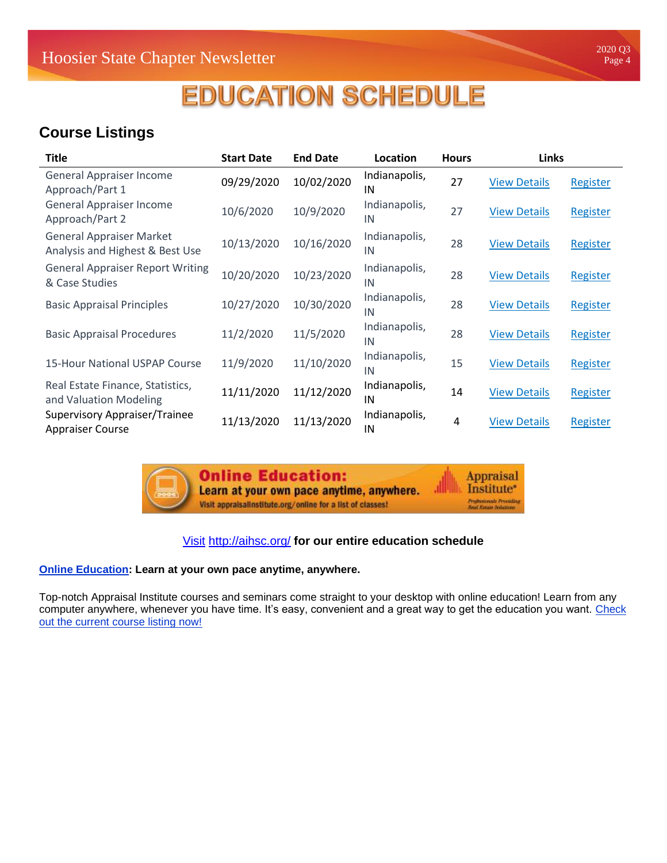# **EDUCATION SCHEDULE**

## **Course Listings**

| <b>Title</b>                                                       | <b>Start Date</b> | <b>End Date</b> | Location            | <b>Hours</b> | <b>Links</b>        |          |
|--------------------------------------------------------------------|-------------------|-----------------|---------------------|--------------|---------------------|----------|
| <b>General Appraiser Income</b><br>Approach/Part 1                 | 09/29/2020        | 10/02/2020      | Indianapolis,<br>IN | 27           | <b>View Details</b> | Register |
| <b>General Appraiser Income</b><br>Approach/Part 2                 | 10/6/2020         | 10/9/2020       | Indianapolis,<br>IN | 27           | <b>View Details</b> | Register |
| <b>General Appraiser Market</b><br>Analysis and Highest & Best Use | 10/13/2020        | 10/16/2020      | Indianapolis,<br>IN | 28           | <b>View Details</b> | Register |
| <b>General Appraiser Report Writing</b><br>& Case Studies          | 10/20/2020        | 10/23/2020      | Indianapolis,<br>IN | 28           | <b>View Details</b> | Register |
| <b>Basic Appraisal Principles</b>                                  | 10/27/2020        | 10/30/2020      | Indianapolis,<br>IN | 28           | <b>View Details</b> | Register |
| <b>Basic Appraisal Procedures</b>                                  | 11/2/2020         | 11/5/2020       | Indianapolis,<br>IN | 28           | <b>View Details</b> | Register |
| 15-Hour National USPAP Course                                      | 11/9/2020         | 11/10/2020      | Indianapolis,<br>IN | 15           | <b>View Details</b> | Register |
| Real Estate Finance, Statistics,<br>and Valuation Modeling         | 11/11/2020        | 11/12/2020      | Indianapolis,<br>IN | 14           | <b>View Details</b> | Register |
| Supervisory Appraiser/Trainee<br><b>Appraiser Course</b>           | 11/13/2020        | 11/13/2020      | Indianapolis,<br>IN | 4            | <b>View Details</b> | Register |



**Online Education:** Learn at your own pace anytime, anywhere. Visit appraisalinstitute.org/online for a list of classes!

**Appraisal** Appraisal<br>Institute\* Profesionals Providing<br>Jeal Estate Solution

### [Visit](https://auainc-my.sharepoint.com/personal/dtudor_auarealestate_com/Documents/Documents/Commercial/AI%20Board/Newsletter/Q3/Visit) <http://aihsc.org/> **for our entire education schedule**

### **[Online Education:](http://www.appraisalinstitute.org/online) Learn at your own pace anytime, anywhere.**

Top-notch Appraisal Institute courses and seminars come straight to your desktop with online education! Learn from any computer anywhere, whenever you have time. It's easy, convenient and a great way to get the education you want. [Check](http://www.appraisalinstitute.org/education/online-education-view_programs.aspx)  [out the current course listing now!](http://www.appraisalinstitute.org/education/online-education-view_programs.aspx)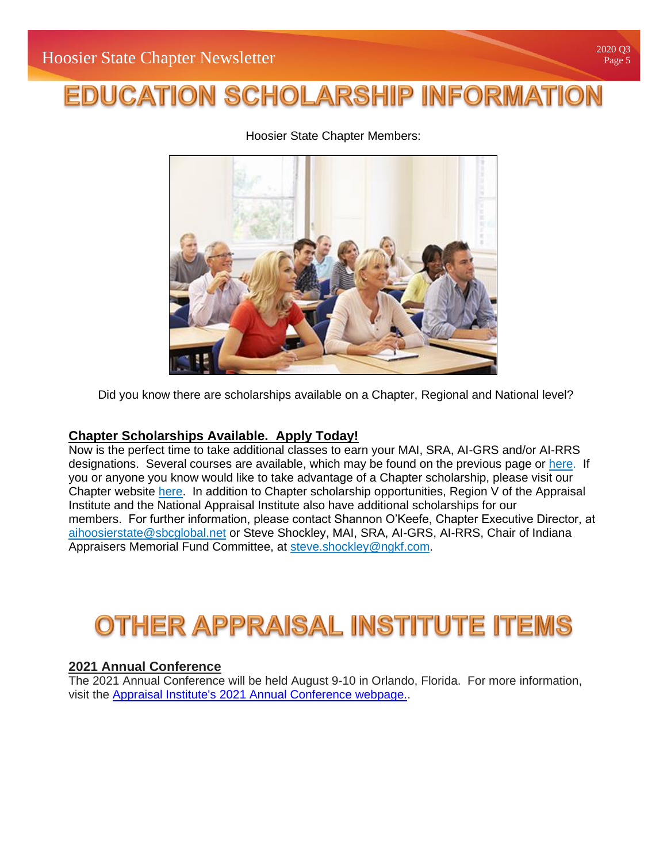# **EDUCATION SCHOLARSHIP INFORMATION**

Hoosier State Chapter Members:



Did you know there are scholarships available on a Chapter, Regional and National level?

### **Chapter Scholarships Available. Apply Today!**

Now is the perfect time to take additional classes to earn your MAI, SRA, AI-GRS and/or AI-RRS designations. Several courses are available, which may be found on the previous page or [here.](https://urldefense.proofpoint.com/v2/url?u=https-3A__aihsc.org_education_course-2Dlistings_&d=DwMFAg&c=3v6EBbtpnn9A7jIZYjOw6KN7Pe17WoimzcinOq2Xztg&r=Lk1obU7TnPiPCeuRd8NSPkSylfC0R398V5h7a7El8e0&m=sSc3MnSS_n35qKzQXwWK5Z-eP8urrZca5O8uBvEKOeA&s=upH1xrY_ujY1Znc-s-s0yv7UONSlGus2YrB8SHHAc2w&e=) If you or anyone you know would like to take advantage of a Chapter scholarship, please visit our Chapter website [here.](https://urldefense.proofpoint.com/v2/url?u=https-3A__aihsc.org_education_scholarships_&d=DwMFAg&c=3v6EBbtpnn9A7jIZYjOw6KN7Pe17WoimzcinOq2Xztg&r=Lk1obU7TnPiPCeuRd8NSPkSylfC0R398V5h7a7El8e0&m=sSc3MnSS_n35qKzQXwWK5Z-eP8urrZca5O8uBvEKOeA&s=KAfmS7WXr0pX1JkHmNhSj88j2M_HclFKftdrgo-LA6U&e=) In addition to Chapter scholarship opportunities, Region V of the Appraisal Institute and the National Appraisal Institute also have additional scholarships for our members. For further information, please contact Shannon O'Keefe, Chapter Executive Director, at [aihoosierstate@sbcglobal.net](mailto:aihoosierstate@sbcglobal.net) or Steve Shockley, MAI, SRA, AI-GRS, AI-RRS, Chair of Indiana Appraisers Memorial Fund Committee, at [steve.shockley@ngkf.com.](mailto:steve.shockley@ngkf.com)

## OTHER APPRAISAL INSTITUTE ITEMS

### **2021 Annual Conference**

The 2021 Annual Conference will be held August 9-10 in Orlando, Florida. For more information, visit the [Appraisal Institute's 2021 Annual Conference webpage..](https://www.appraisalinstitute.org/annual-conference/#:~:text=Annual%20Conference%20Dates%20Announced,have%20been%20confirmed%20for%202021)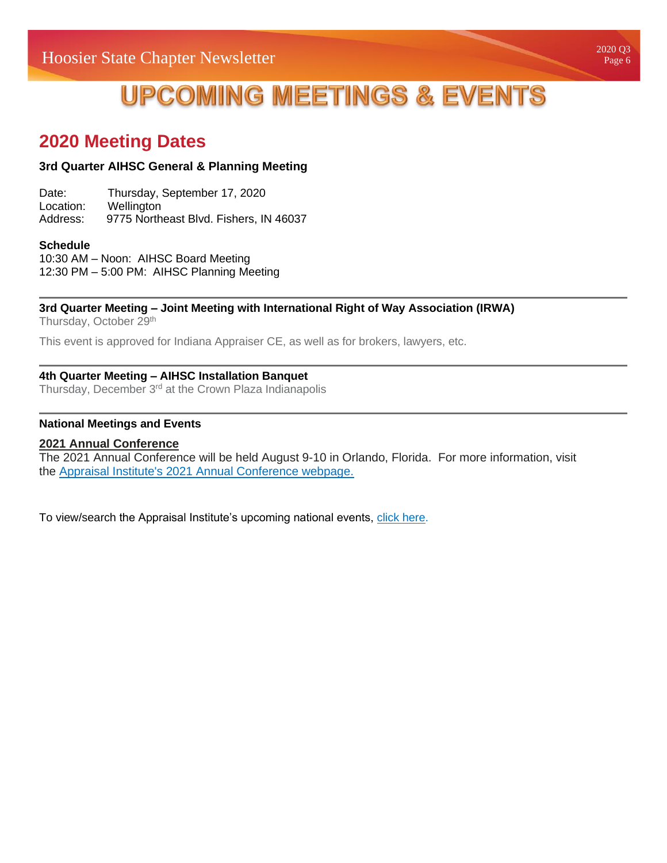## **UPCOMING MEETINGS & EVENTS**

## **2020 Meeting Dates**

### **3rd Quarter AIHSC General & Planning Meeting**

| Date:     | Thursday, September 17, 2020           |
|-----------|----------------------------------------|
| Location: | Wellington                             |
| Address:  | 9775 Northeast Blvd. Fishers, IN 46037 |

#### **Schedule**

10:30 AM – Noon: AIHSC Board Meeting 12:30 PM – 5:00 PM: AIHSC Planning Meeting

#### **3rd Quarter Meeting – Joint Meeting with International Right of Way Association (IRWA)**

Thursday, October 29<sup>th</sup>

This event is approved for Indiana Appraiser CE, as well as for brokers, lawyers, etc.

### **4th Quarter Meeting – AIHSC Installation Banquet**

Thursday, December 3<sup>rd</sup> at the Crown Plaza Indianapolis

#### **National Meetings and Events**

### **2021 Annual Conference**

The 2021 Annual Conference will be held August 9-10 in Orlando, Florida. For more information, visit the [Appraisal Institute's 2021 Annual Conference webpage.](https://www.appraisalinstitute.org/annual-conference/#:~:text=Annual%20Conference%20Dates%20Announced,have%20been%20confirmed%20for%202021)

To view/search the Appraisal Institute's upcoming national events, [click here.](http://www.appraisalinstitute.org/events/list/)